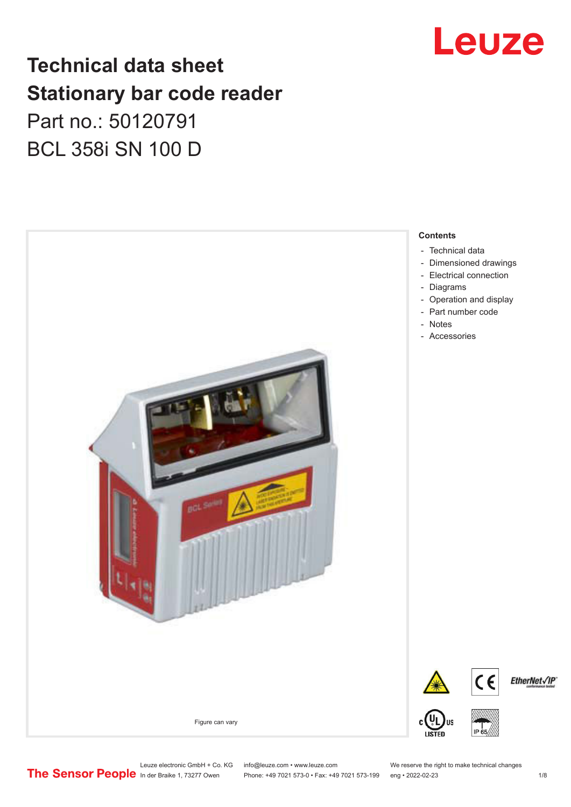## Leuze

## **Technical data sheet Stationary bar code reader** Part no.: 50120791 BCL 358i SN 100 D



Leuze electronic GmbH + Co. KG info@leuze.com • www.leuze.com We reserve the right to make technical changes<br>
The Sensor People in der Braike 1, 73277 Owen Phone: +49 7021 573-0 • Fax: +49 7021 573-199 eng • 2022-02-23

Phone: +49 7021 573-0 • Fax: +49 7021 573-199 eng • 2022-02-23 1 /8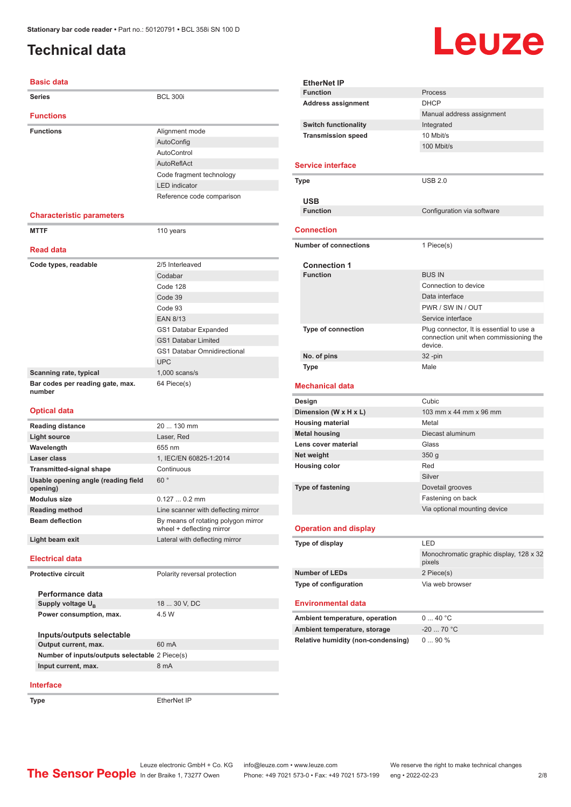### <span id="page-1-0"></span>**Technical data**

# **Leuze**

| <b>Basic data</b>                               |                                                                  |
|-------------------------------------------------|------------------------------------------------------------------|
| Series                                          | <b>BCL 300i</b>                                                  |
| <b>Functions</b>                                |                                                                  |
| <b>Functions</b>                                | Alignment mode                                                   |
|                                                 | AutoConfig                                                       |
|                                                 | AutoControl                                                      |
|                                                 | AutoReflAct                                                      |
|                                                 | Code fragment technology                                         |
|                                                 | <b>LED</b> indicator                                             |
|                                                 | Reference code comparison                                        |
|                                                 |                                                                  |
| <b>Characteristic parameters</b>                |                                                                  |
| <b>MTTF</b>                                     | 110 years                                                        |
| <b>Read data</b>                                |                                                                  |
| Code types, readable                            | 2/5 Interleaved                                                  |
|                                                 | Codabar                                                          |
|                                                 | Code 128                                                         |
|                                                 | Code 39                                                          |
|                                                 | Code 93                                                          |
|                                                 | <b>EAN 8/13</b>                                                  |
|                                                 | GS1 Databar Expanded                                             |
|                                                 | <b>GS1 Databar Limited</b>                                       |
|                                                 | <b>GS1 Databar Omnidirectional</b>                               |
|                                                 | <b>UPC</b>                                                       |
| Scanning rate, typical                          | $1,000$ scans/s                                                  |
| Bar codes per reading gate, max.                | 64 Piece(s)                                                      |
| number                                          |                                                                  |
| <b>Optical data</b>                             |                                                                  |
| <b>Reading distance</b>                         | 20  130 mm                                                       |
| <b>Light source</b>                             | Laser, Red                                                       |
| Wavelength                                      | 655 nm                                                           |
| Laser class                                     | 1. IEC/EN 60825-1:2014                                           |
| <b>Transmitted-signal shape</b>                 | Continuous                                                       |
| Usable opening angle (reading field<br>opening) | 60°                                                              |
| <b>Modulus size</b>                             | $0.1270.2$ mm                                                    |
| <b>Reading method</b>                           | Line scanner with deflecting mirror                              |
| <b>Beam deflection</b>                          | By means of rotating polygon mirror<br>wheel + deflecting mirror |
| Light beam exit                                 | Lateral with deflecting mirror                                   |
| <b>Electrical data</b>                          |                                                                  |
| <b>Protective circuit</b>                       | Polarity reversal protection                                     |
|                                                 |                                                                  |
| Performance data                                |                                                                  |
| Supply voltage $U_{B}$                          | 18  30 V, DC                                                     |
| Power consumption, max.                         | 4.5 W                                                            |
| Inputs/outputs selectable                       |                                                                  |

| <b>EtherNet IP</b>                                                 |                                                                                               |  |
|--------------------------------------------------------------------|-----------------------------------------------------------------------------------------------|--|
| <b>Function</b>                                                    | Process                                                                                       |  |
| <b>Address assignment</b>                                          | <b>DHCP</b>                                                                                   |  |
|                                                                    | Manual address assignment                                                                     |  |
| <b>Switch functionality</b>                                        | Integrated                                                                                    |  |
| <b>Transmission speed</b>                                          | 10 Mbit/s                                                                                     |  |
|                                                                    | 100 Mbit/s                                                                                    |  |
| <b>Service interface</b>                                           |                                                                                               |  |
| Type                                                               | <b>USB 2.0</b>                                                                                |  |
|                                                                    |                                                                                               |  |
| <b>USB</b>                                                         |                                                                                               |  |
| <b>Function</b>                                                    | Configuration via software                                                                    |  |
| <b>Connection</b>                                                  |                                                                                               |  |
| <b>Number of connections</b>                                       | 1 Piece(s)                                                                                    |  |
| <b>Connection 1</b>                                                |                                                                                               |  |
| <b>Function</b>                                                    | <b>BUS IN</b>                                                                                 |  |
|                                                                    | Connection to device                                                                          |  |
|                                                                    | Data interface                                                                                |  |
|                                                                    | PWR / SW IN / OUT                                                                             |  |
|                                                                    | Service interface                                                                             |  |
| <b>Type of connection</b>                                          | Plug connector, It is essential to use a<br>connection unit when commissioning the<br>device. |  |
| No. of pins                                                        | $32 - pin$                                                                                    |  |
| Type                                                               | Male                                                                                          |  |
|                                                                    |                                                                                               |  |
| <b>Mechanical data</b>                                             |                                                                                               |  |
|                                                                    | Cubic                                                                                         |  |
| Design                                                             | 103 mm x 44 mm x 96 mm                                                                        |  |
| Dimension (W x H x L)                                              | Metal                                                                                         |  |
| <b>Housing material</b>                                            | Diecast aluminum                                                                              |  |
| <b>Metal housing</b><br>Lens cover material                        | Glass                                                                                         |  |
| Net weight                                                         | 350 <sub>g</sub>                                                                              |  |
| <b>Housing color</b>                                               | Red                                                                                           |  |
|                                                                    | Silver                                                                                        |  |
| <b>Type of fastening</b>                                           | Dovetail grooves                                                                              |  |
|                                                                    | Fastening on back                                                                             |  |
|                                                                    | Via optional mounting device                                                                  |  |
| <b>Operation and display</b>                                       |                                                                                               |  |
|                                                                    | LED                                                                                           |  |
| Type of display                                                    | Monochromatic graphic display, 128 x 32<br>pixels                                             |  |
| <b>Number of LEDs</b>                                              | 2 Piece(s)                                                                                    |  |
| Type of configuration                                              | Via web browser                                                                               |  |
| <b>Environmental data</b>                                          |                                                                                               |  |
|                                                                    |                                                                                               |  |
| Ambient temperature, operation                                     | 040 °C                                                                                        |  |
| Ambient temperature, storage<br>Relative humidity (non-condensing) | $-20$ 70 °C<br>090%                                                                           |  |

#### **Interface**

**Output current, max.** 60 mA **Number of inputs/outputs selectable** 2 Piece(s) **Input current, max.** 8 mA

**Type** EtherNet IP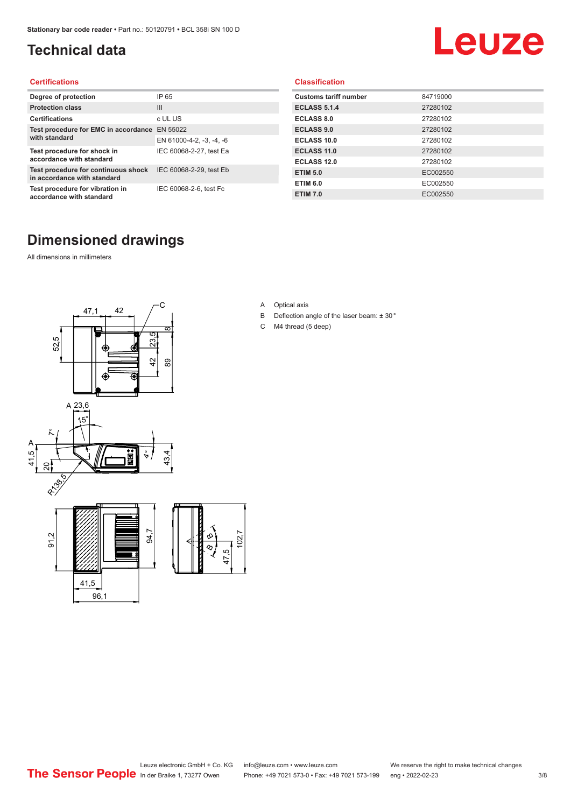### <span id="page-2-0"></span>**Technical data**

## Leuze

#### **Certifications**

| Degree of protection                                               | IP 65                    |
|--------------------------------------------------------------------|--------------------------|
| <b>Protection class</b>                                            | Ш                        |
| <b>Certifications</b>                                              | c UL US                  |
| Test procedure for EMC in accordance EN 55022                      |                          |
| with standard                                                      | EN 61000-4-2, -3, -4, -6 |
| Test procedure for shock in<br>accordance with standard            | IEC 60068-2-27, test Ea  |
| Test procedure for continuous shock<br>in accordance with standard | IEC 60068-2-29, test Eb  |
| Test procedure for vibration in<br>accordance with standard        | IEC 60068-2-6, test Fc   |

#### **Classification**

| <b>Customs tariff number</b> | 84719000 |
|------------------------------|----------|
| <b>ECLASS 5.1.4</b>          | 27280102 |
| <b>ECLASS 8.0</b>            | 27280102 |
| <b>ECLASS 9.0</b>            | 27280102 |
| ECLASS 10.0                  | 27280102 |
| <b>ECLASS 11.0</b>           | 27280102 |
| ECLASS 12.0                  | 27280102 |
| <b>ETIM 5.0</b>              | EC002550 |
| <b>ETIM 6.0</b>              | EC002550 |
| <b>ETIM 7.0</b>              | EC002550 |

#### **Dimensioned drawings**

All dimensions in millimeters





- B Deflection angle of the laser beam: ± 30 °
- C M4 thread (5 deep)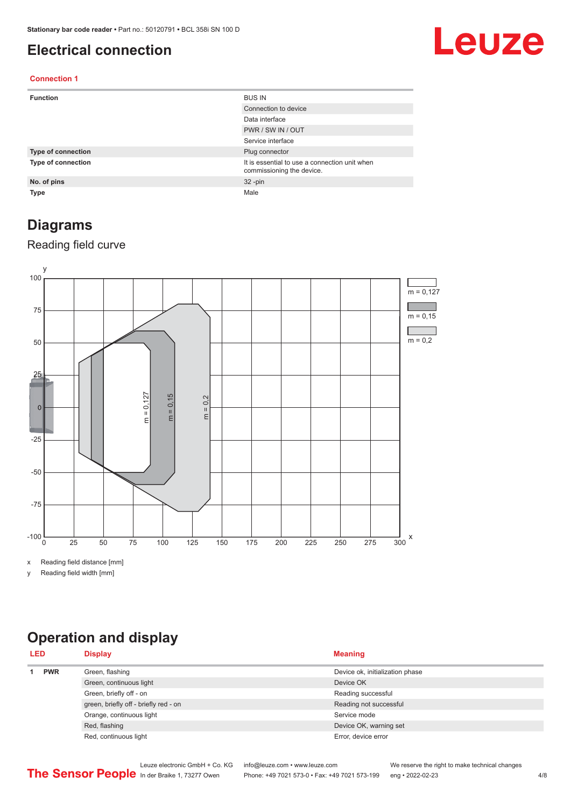#### <span id="page-3-0"></span>**Electrical connection**

## Leuze

#### **Connection 1**

| <b>Function</b>           | <b>BUS IN</b>                                                              |
|---------------------------|----------------------------------------------------------------------------|
|                           | Connection to device                                                       |
|                           | Data interface                                                             |
|                           | PWR / SW IN / OUT                                                          |
|                           | Service interface                                                          |
| Type of connection        | Plug connector                                                             |
| <b>Type of connection</b> | It is essential to use a connection unit when<br>commissioning the device. |
| No. of pins               | $32 - pin$                                                                 |
| <b>Type</b>               | Male                                                                       |

#### **Diagrams**

#### Reading field curve



x Reading field distance [mm]

y Reading field width [mm]

### **Operation and display**

| <b>LED</b>                                                        |               | <b>Display</b>          | <b>Meaning</b>                  |
|-------------------------------------------------------------------|---------------|-------------------------|---------------------------------|
|                                                                   | <b>PWR</b>    | Green, flashing         | Device ok, initialization phase |
|                                                                   |               | Green, continuous light | Device OK                       |
|                                                                   |               | Green, briefly off - on | Reading successful              |
| green, briefly off - briefly red - on<br>Orange, continuous light |               |                         | Reading not successful          |
|                                                                   |               |                         | Service mode                    |
|                                                                   | Red, flashing | Device OK, warning set  |                                 |
|                                                                   |               | Red, continuous light   | Error, device error             |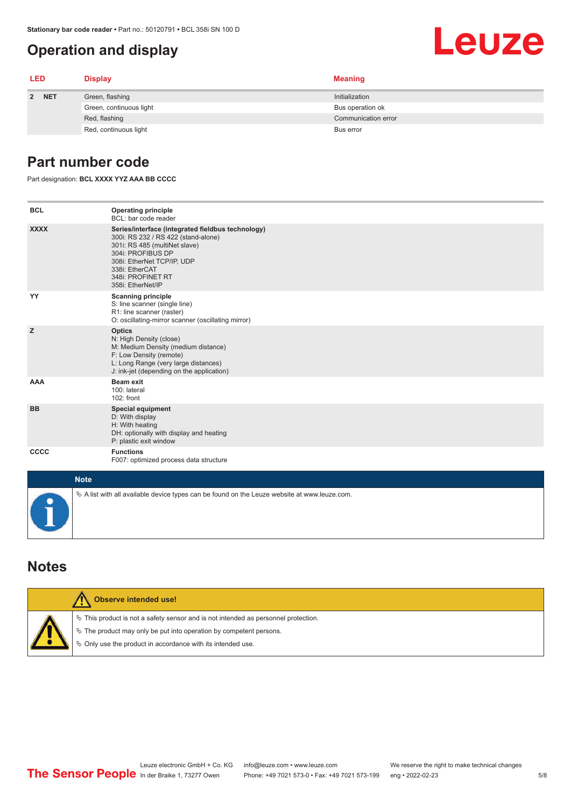#### <span id="page-4-0"></span>**Operation and display**

#### **LED Display Meaning 2 NET** Green, flashing **Initialization** Initialization Green, continuous light Bus operation ok Red, flashing Communication error communication error communication error communication error Red, continuous light Bus error

#### **Part number code**

Part designation: **BCL XXXX YYZ AAA BB CCCC**

| <b>BCL</b>  | <b>Operating principle</b><br>BCL: bar code reader                                                                                                                                                                                       |
|-------------|------------------------------------------------------------------------------------------------------------------------------------------------------------------------------------------------------------------------------------------|
| <b>XXXX</b> | Series/interface (integrated fieldbus technology)<br>300i: RS 232 / RS 422 (stand-alone)<br>301i: RS 485 (multiNet slave)<br>304i: PROFIBUS DP<br>308i: EtherNet TCP/IP, UDP<br>338i: EtherCAT<br>348i: PROFINET RT<br>358i: EtherNet/IP |
| YY          | <b>Scanning principle</b><br>S: line scanner (single line)<br>R1: line scanner (raster)<br>O: oscillating-mirror scanner (oscillating mirror)                                                                                            |
| z           | <b>Optics</b><br>N: High Density (close)<br>M: Medium Density (medium distance)<br>F: Low Density (remote)<br>L: Long Range (very large distances)<br>J: ink-jet (depending on the application)                                          |
| <b>AAA</b>  | <b>Beam exit</b><br>100: lateral<br>102: front                                                                                                                                                                                           |
| <b>BB</b>   | <b>Special equipment</b><br>D: With display<br>H: With heating<br>DH: optionally with display and heating<br>P: plastic exit window                                                                                                      |
| CCCC        | <b>Functions</b><br>F007: optimized process data structure                                                                                                                                                                               |
| <b>Note</b> |                                                                                                                                                                                                                                          |
|             | $\&$ A list with all available device types can be found on the Leuze website at www.leuze.com.                                                                                                                                          |

#### **Notes**

| Observe intended use!                                                                                                                                                                                                         |
|-------------------------------------------------------------------------------------------------------------------------------------------------------------------------------------------------------------------------------|
| $\%$ This product is not a safety sensor and is not intended as personnel protection.<br>$\%$ The product may only be put into operation by competent persons.<br>♦ Only use the product in accordance with its intended use. |

Leuze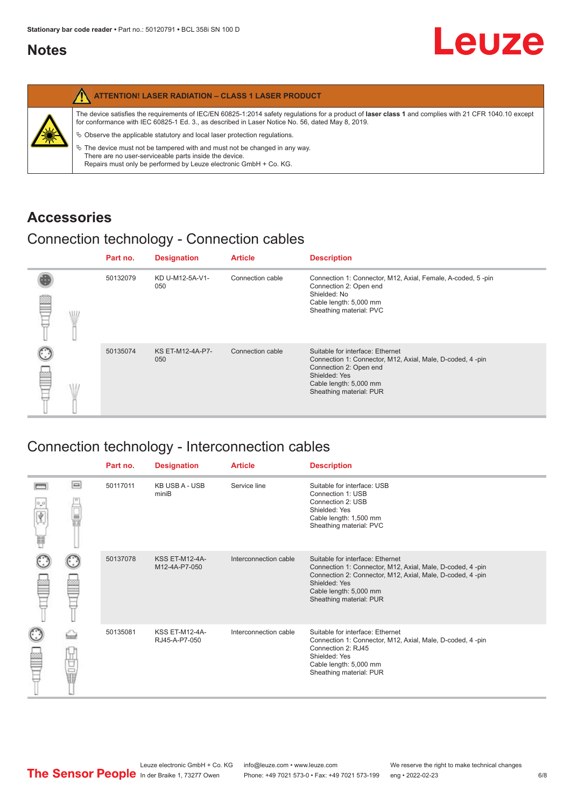#### <span id="page-5-0"></span>**Notes**

|   | <b>ATTENTION! LASER RADIATION - CLASS 1 LASER PRODUCT</b>                                                                                                                                                                                                                                                                                                                                                                                                                                                                                                   |
|---|-------------------------------------------------------------------------------------------------------------------------------------------------------------------------------------------------------------------------------------------------------------------------------------------------------------------------------------------------------------------------------------------------------------------------------------------------------------------------------------------------------------------------------------------------------------|
| 纂 | The device satisfies the requirements of IEC/EN 60825-1:2014 safety regulations for a product of laser class 1 and complies with 21 CFR 1040.10 except<br>for conformance with IEC 60825-1 Ed. 3., as described in Laser Notice No. 56, dated May 8, 2019.<br>$\%$ Observe the applicable statutory and local laser protection regulations.<br>$\%$ The device must not be tampered with and must not be changed in any way.<br>There are no user-serviceable parts inside the device.<br>Repairs must only be performed by Leuze electronic GmbH + Co. KG. |

#### **Accessories**

#### Connection technology - Connection cables

|   | Part no. | <b>Designation</b>      | <b>Article</b>   | <b>Description</b>                                                                                                                                                                            |
|---|----------|-------------------------|------------------|-----------------------------------------------------------------------------------------------------------------------------------------------------------------------------------------------|
| œ | 50132079 | KD U-M12-5A-V1-<br>050  | Connection cable | Connection 1: Connector, M12, Axial, Female, A-coded, 5-pin<br>Connection 2: Open end<br>Shielded: No<br>Cable length: 5,000 mm<br>Sheathing material: PVC                                    |
|   | 50135074 | KS ET-M12-4A-P7-<br>050 | Connection cable | Suitable for interface: Ethernet<br>Connection 1: Connector, M12, Axial, Male, D-coded, 4-pin<br>Connection 2: Open end<br>Shielded: Yes<br>Cable length: 5,000 mm<br>Sheathing material: PUR |

### Connection technology - Interconnection cables

|   |     | Part no. | <b>Designation</b>                     | <b>Article</b>        | <b>Description</b>                                                                                                                                                                                                               |
|---|-----|----------|----------------------------------------|-----------------------|----------------------------------------------------------------------------------------------------------------------------------------------------------------------------------------------------------------------------------|
| Ħ | e   | 50117011 | <b>KB USB A - USB</b><br>miniB         | Service line          | Suitable for interface: USB<br>Connection 1: USB<br>Connection 2: USB<br>Shielded: Yes<br>Cable length: 1,500 mm<br>Sheathing material: PVC                                                                                      |
|   |     | 50137078 | <b>KSS ET-M12-4A-</b><br>M12-4A-P7-050 | Interconnection cable | Suitable for interface: Ethernet<br>Connection 1: Connector, M12, Axial, Male, D-coded, 4-pin<br>Connection 2: Connector, M12, Axial, Male, D-coded, 4-pin<br>Shielded: Yes<br>Cable length: 5,000 mm<br>Sheathing material: PUR |
|   | the | 50135081 | <b>KSS ET-M12-4A-</b><br>RJ45-A-P7-050 | Interconnection cable | Suitable for interface: Ethernet<br>Connection 1: Connector, M12, Axial, Male, D-coded, 4-pin<br>Connection 2: RJ45<br>Shielded: Yes<br>Cable length: 5,000 mm<br>Sheathing material: PUR                                        |

Leuze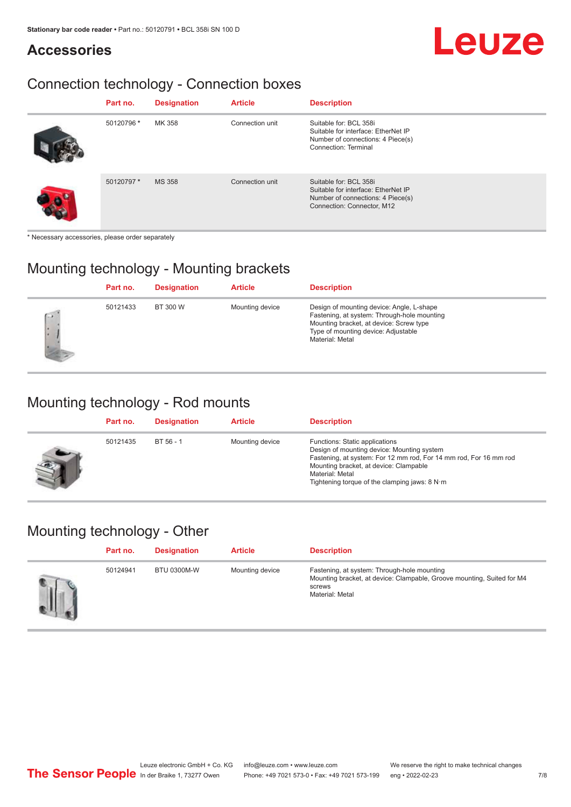## Leuze

### **Accessories**

### Connection technology - Connection boxes

| Part no.   | <b>Designation</b> | <b>Article</b>  | <b>Description</b>                                                                                                               |
|------------|--------------------|-----------------|----------------------------------------------------------------------------------------------------------------------------------|
| 50120796 * | MK 358             | Connection unit | Suitable for: BCL 358i<br>Suitable for interface: EtherNet IP<br>Number of connections: 4 Piece(s)<br>Connection: Terminal       |
| 50120797 * | <b>MS 358</b>      | Connection unit | Suitable for: BCL 358i<br>Suitable for interface: EtherNet IP<br>Number of connections: 4 Piece(s)<br>Connection: Connector, M12 |

\* Necessary accessories, please order separately

#### Mounting technology - Mounting brackets

|      | Part no. | <b>Designation</b> | <b>Article</b>  | <b>Description</b>                                                                                                                                                                            |
|------|----------|--------------------|-----------------|-----------------------------------------------------------------------------------------------------------------------------------------------------------------------------------------------|
| $-1$ | 50121433 | BT 300 W           | Mounting device | Design of mounting device: Angle, L-shape<br>Fastening, at system: Through-hole mounting<br>Mounting bracket, at device: Screw type<br>Type of mounting device: Adjustable<br>Material: Metal |

#### Mounting technology - Rod mounts

| Part no. | <b>Designation</b> | <b>Article</b>  | <b>Description</b>                                                                                                                                                                                                                                                |
|----------|--------------------|-----------------|-------------------------------------------------------------------------------------------------------------------------------------------------------------------------------------------------------------------------------------------------------------------|
| 50121435 | BT 56 - 1          | Mounting device | Functions: Static applications<br>Design of mounting device: Mounting system<br>Fastening, at system: For 12 mm rod, For 14 mm rod, For 16 mm rod<br>Mounting bracket, at device: Clampable<br>Material: Metal<br>Tightening torque of the clamping jaws: $8 N·m$ |

#### Mounting technology - Other

| Part no. | <b>Designation</b> | <b>Article</b>  | <b>Description</b>                                                                                                                                 |
|----------|--------------------|-----------------|----------------------------------------------------------------------------------------------------------------------------------------------------|
| 50124941 | <b>BTU 0300M-W</b> | Mounting device | Fastening, at system: Through-hole mounting<br>Mounting bracket, at device: Clampable, Groove mounting, Suited for M4<br>screws<br>Material: Metal |